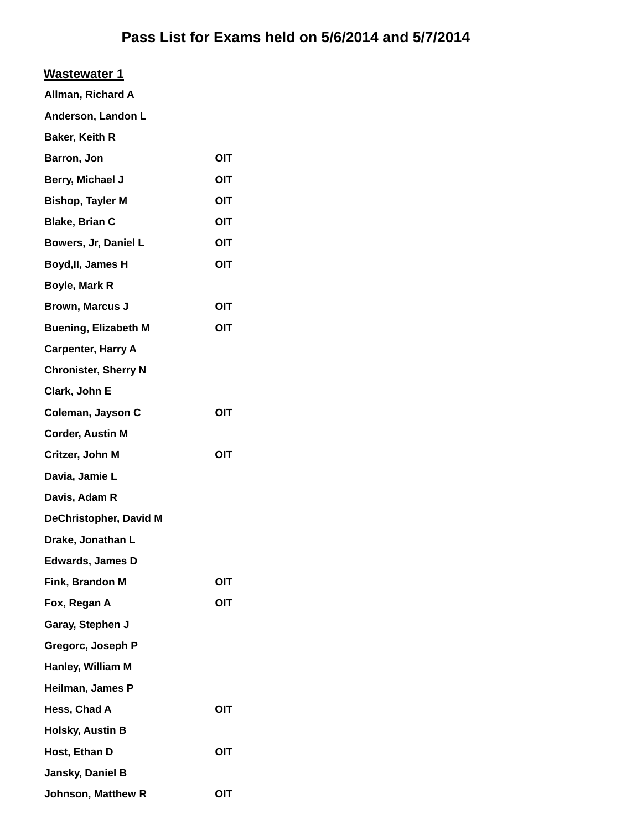### **Wastewater 1**

| Allman, Richard A  |  |  |
|--------------------|--|--|
| Anderson, Landon L |  |  |

| Baker, Keith R                |            |
|-------------------------------|------------|
| Barron, Jon                   | OIT        |
| Berry, Michael J              | OIT        |
| <b>Bishop, Tayler M</b>       | OIT        |
| <b>Blake, Brian C</b>         | OIT        |
| Bowers, Jr, Daniel L          | OIT        |
| Boyd, II, James H             | <b>OIT</b> |
| Boyle, Mark R                 |            |
| <b>Brown, Marcus J</b>        | OIT        |
| <b>Buening, Elizabeth M</b>   | OIT        |
| <b>Carpenter, Harry A</b>     |            |
| <b>Chronister, Sherry N</b>   |            |
| Clark, John E                 |            |
| Coleman, Jayson C             | OIT        |
| <b>Corder, Austin M</b>       |            |
| Critzer, John M               | OIT        |
| Davia, Jamie L                |            |
| Davis, Adam R                 |            |
| <b>DeChristopher, David M</b> |            |
| Drake, Jonathan L             |            |
| <b>Edwards, James D</b>       |            |
| Fink, Brandon M               | OIT        |
| Fox, Regan A                  | OIT        |
| Garay, Stephen J              |            |
| Gregorc, Joseph P             |            |
| Hanley, William M             |            |
| Heilman, James P              |            |
| Hess, Chad A                  | OIT        |
| <b>Holsky, Austin B</b>       |            |
| Host, Ethan D                 | OIT        |
| Jansky, Daniel B              |            |

**Johnson, Matthew R OIT**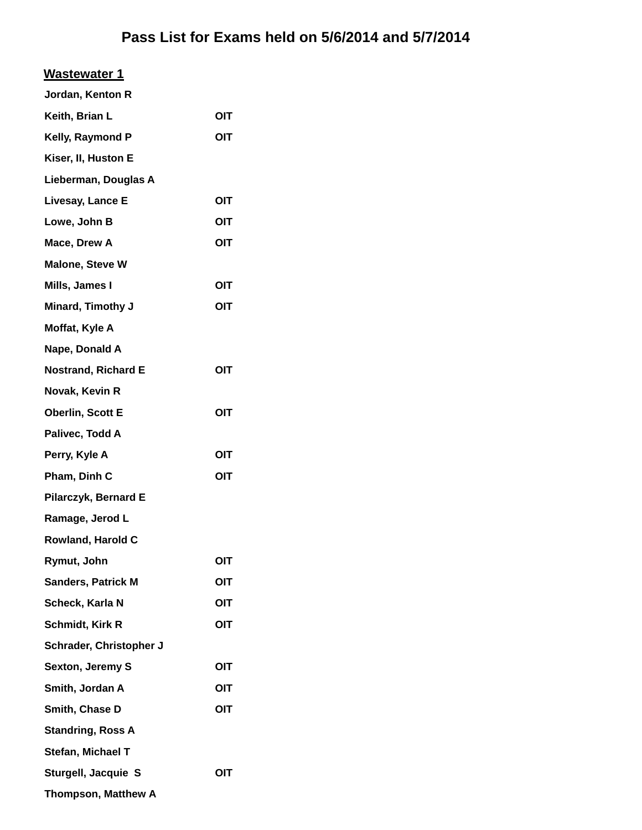| <b>Wastewater 1</b>        |     |
|----------------------------|-----|
| Jordan, Kenton R           |     |
| Keith, Brian L             | OIT |
| Kelly, Raymond P           | OIT |
| Kiser, II, Huston E        |     |
| Lieberman, Douglas A       |     |
| Livesay, Lance E           | OIT |
| Lowe, John B               | OIT |
| Mace, Drew A               | OIT |
| <b>Malone, Steve W</b>     |     |
| Mills, James I             | OIT |
| <b>Minard, Timothy J</b>   | OIT |
| Moffat, Kyle A             |     |
| Nape, Donald A             |     |
| <b>Nostrand, Richard E</b> | OIT |
| Novak, Kevin R             |     |
| <b>Oberlin, Scott E</b>    | OIT |
| Palivec, Todd A            |     |
| Perry, Kyle A              | OIT |
| Pham, Dinh C               | OIT |
| Pilarczyk, Bernard E       |     |
| Ramage, Jerod L            |     |
| Rowland, Harold C          |     |
| Rymut, John                | OIT |
| <b>Sanders, Patrick M</b>  | OIT |
| Scheck, Karla N            | OIT |
| Schmidt, Kirk R            | OIT |
| Schrader, Christopher J    |     |
| <b>Sexton, Jeremy S</b>    | OIT |
| Smith, Jordan A            | OIT |
| Smith, Chase D             | OIT |
| <b>Standring, Ross A</b>   |     |
| Stefan, Michael T          |     |
| Sturgell, Jacquie S        | OIT |
| <b>Thompson, Matthew A</b> |     |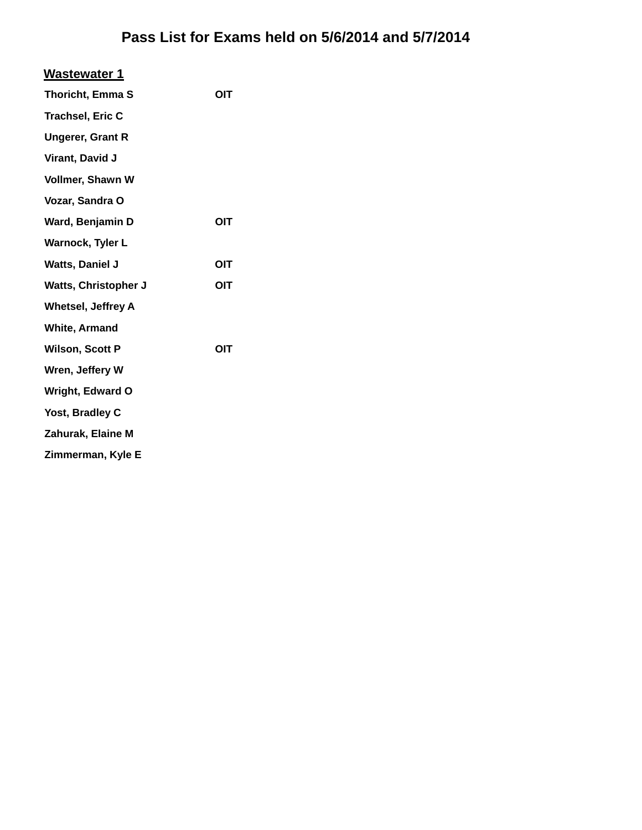| Wastewater 1                |            |
|-----------------------------|------------|
| <b>Thoricht, Emma S</b>     | OIT        |
| <b>Trachsel, Eric C</b>     |            |
| <b>Ungerer, Grant R</b>     |            |
| Virant, David J             |            |
| Vollmer, Shawn W            |            |
| Vozar, Sandra O             |            |
| Ward, Benjamin D            | OIT        |
| Warnock, Tyler L            |            |
| <b>Watts, Daniel J</b>      | <b>OIT</b> |
| <b>Watts, Christopher J</b> | OIT        |
| <b>Whetsel, Jeffrey A</b>   |            |
| <b>White, Armand</b>        |            |
| <b>Wilson, Scott P</b>      | OIT        |
| Wren, Jeffery W             |            |
| <b>Wright, Edward O</b>     |            |
| Yost, Bradley C             |            |
| Zahurak, Elaine M           |            |
| Zimmerman, Kyle E           |            |
|                             |            |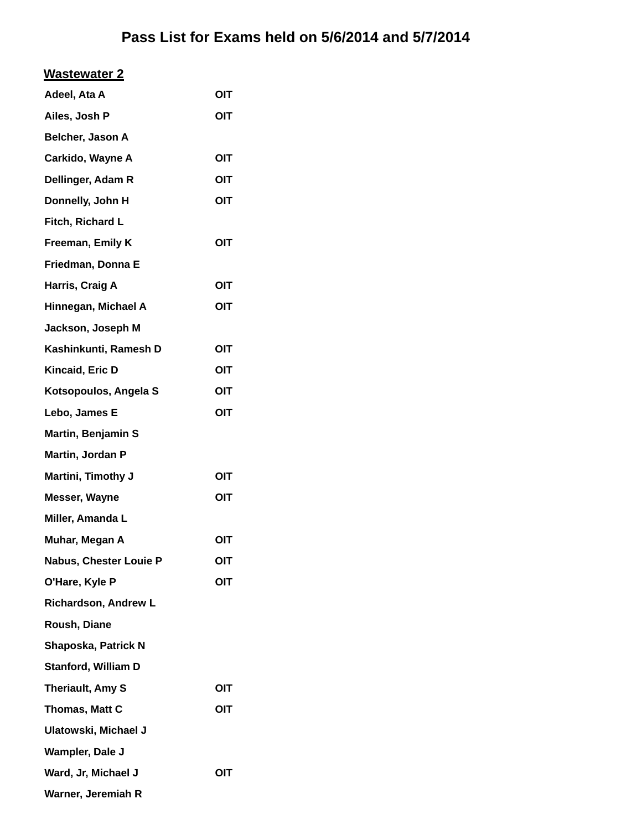| Adeel, Ata A                | OIT        |
|-----------------------------|------------|
| Ailes, Josh P               | OIT        |
| Belcher, Jason A            |            |
| Carkido, Wayne A            | <b>OIT</b> |
| Dellinger, Adam R           | OIT        |
| Donnelly, John H            | OIT        |
| Fitch, Richard L            |            |
| Freeman, Emily K            | OIT        |
| Friedman, Donna E           |            |
| Harris, Craig A             | OIT        |
| Hinnegan, Michael A         | OIT        |
| Jackson, Joseph M           |            |
| Kashinkunti, Ramesh D       | OIT        |
| Kincaid, Eric D             | OIT        |
| Kotsopoulos, Angela S       | OIT        |
| Lebo, James E               | OIT        |
| Martin, Benjamin S          |            |
| Martin, Jordan P            |            |
| Martini, Timothy J          | OIT        |
| <b>Messer, Wayne</b>        | <b>OIT</b> |
| Miller, Amanda L            |            |
| Muhar, Megan A              | OIT        |
| Nabus, Chester Louie P      | OIT        |
| O'Hare, Kyle P              | OIT        |
| <b>Richardson, Andrew L</b> |            |
| Roush, Diane                |            |
| Shaposka, Patrick N         |            |
| <b>Stanford, William D</b>  |            |
| Theriault, Amy S            | OIT        |
| Thomas, Matt C              | OIT        |
| Ulatowski, Michael J        |            |
| Wampler, Dale J             |            |
| Ward, Jr, Michael J         | OIT        |
| Warner, Jeremiah R          |            |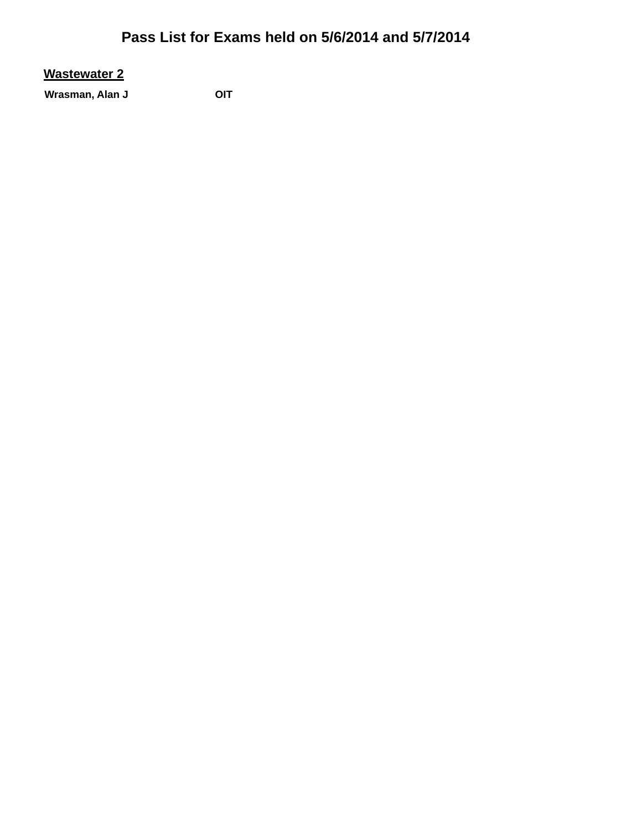### **Wastewater 2**

Wrasman, Alan J<br>
OIT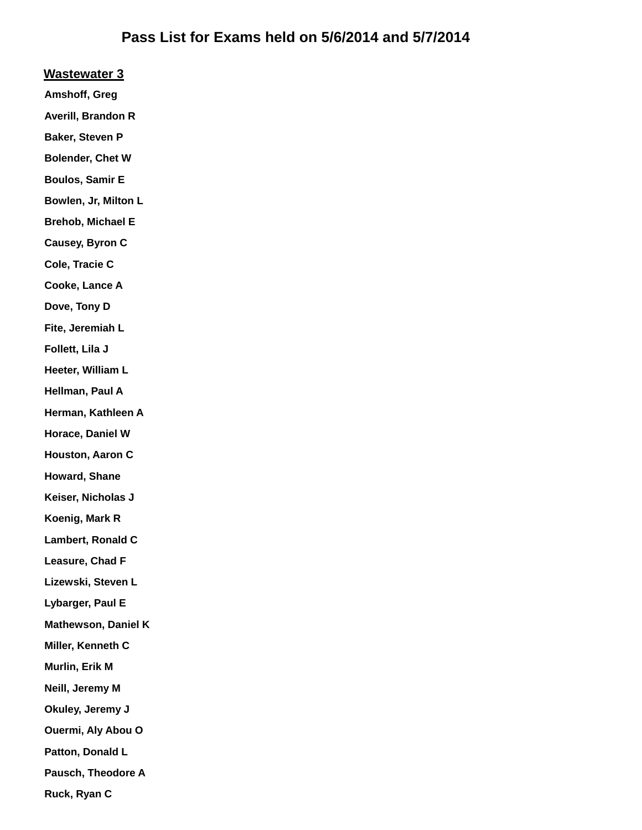#### **Wastewater 3**

**Amshoff, Greg**

**Averill, Brandon R**

**Baker, Steven P**

**Bolender, Chet W**

**Boulos, Samir E**

**Bowlen, Jr, Milton L**

**Brehob, Michael E**

**Causey, Byron C**

**Cole, Tracie C**

**Cooke, Lance A**

**Dove, Tony D**

**Fite, Jeremiah L**

**Follett, Lila J**

**Heeter, William L**

**Hellman, Paul A**

**Herman, Kathleen A**

**Horace, Daniel W**

**Houston, Aaron C**

**Howard, Shane**

**Keiser, Nicholas J**

**Koenig, Mark R**

**Lambert, Ronald C**

**Leasure, Chad F**

**Lizewski, Steven L**

**Lybarger, Paul E**

**Mathewson, Daniel K**

**Miller, Kenneth C**

**Murlin, Erik M**

**Neill, Jeremy M**

**Okuley, Jeremy J**

**Ouermi, Aly Abou O**

**Patton, Donald L**

**Pausch, Theodore A**

**Ruck, Ryan C**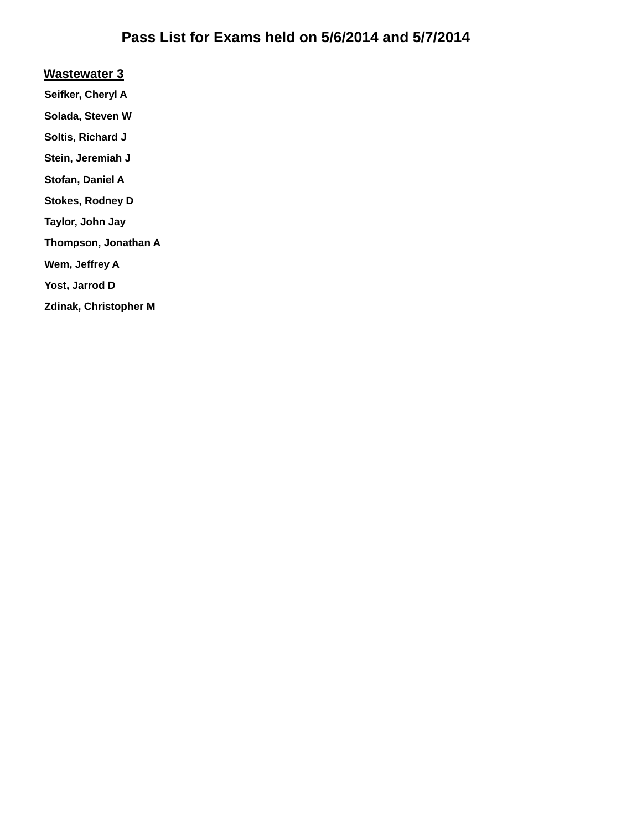#### **Wastewater 3**

- **Seifker, Cheryl A**
- **Solada, Steven W**
- **Soltis, Richard J**
- **Stein, Jeremiah J**
- **Stofan, Daniel A**
- **Stokes, Rodney D**
- **Taylor, John Jay**
- **Thompson, Jonathan A**
- **Wem, Jeffrey A**
- **Yost, Jarrod D**
- **Zdinak, Christopher M**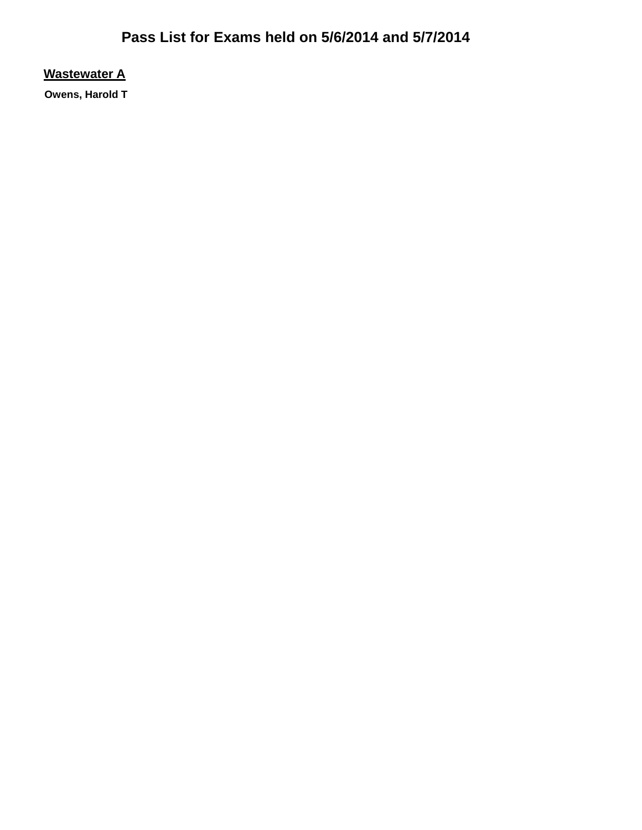**Wastewater A**

**Owens, Harold T**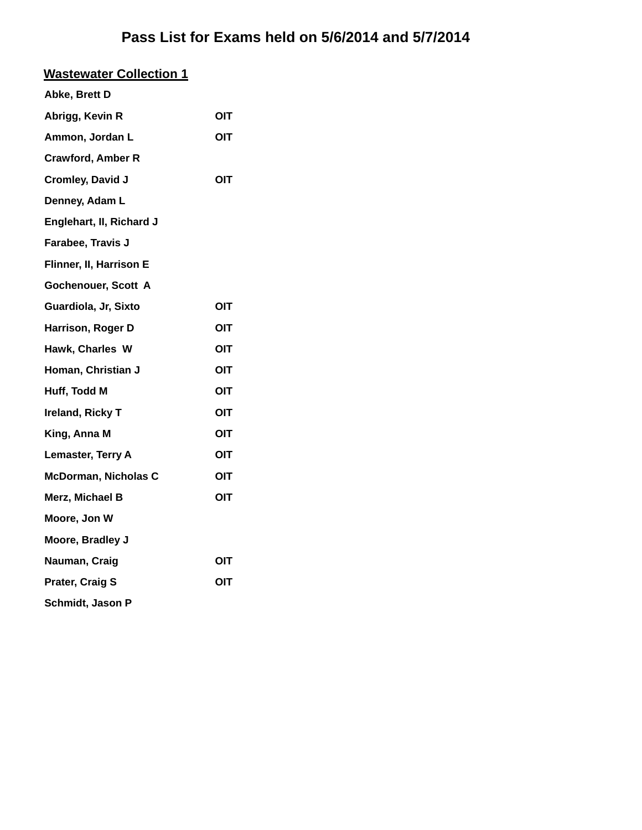| <b>Wastewater Collection 1</b> |     |
|--------------------------------|-----|
| Abke, Brett D                  |     |
| Abrigg, Kevin R                | OIT |
| Ammon, Jordan L                | OIT |
| <b>Crawford, Amber R</b>       |     |
| <b>Cromley, David J</b>        | OIT |
| Denney, Adam L                 |     |
| Englehart, II, Richard J       |     |
| Farabee, Travis J              |     |
| Flinner, II, Harrison E        |     |
| Gochenouer, Scott A            |     |
| Guardiola, Jr, Sixto           | OIT |
| Harrison, Roger D              | OIT |
| Hawk, Charles W                | OIT |
| Homan, Christian J             | OIT |
| Huff, Todd M                   | OIT |
| Ireland, Ricky T               | ΟΙΤ |
| King, Anna M                   | OIT |
| Lemaster, Terry A              | OIT |
| <b>McDorman, Nicholas C</b>    | OIT |
| Merz, Michael B                | OIT |
| Moore, Jon W                   |     |
| Moore, Bradley J               |     |
| Nauman, Craig                  | OIT |
| <b>Prater, Craig S</b>         | OIT |
| Schmidt, Jason P               |     |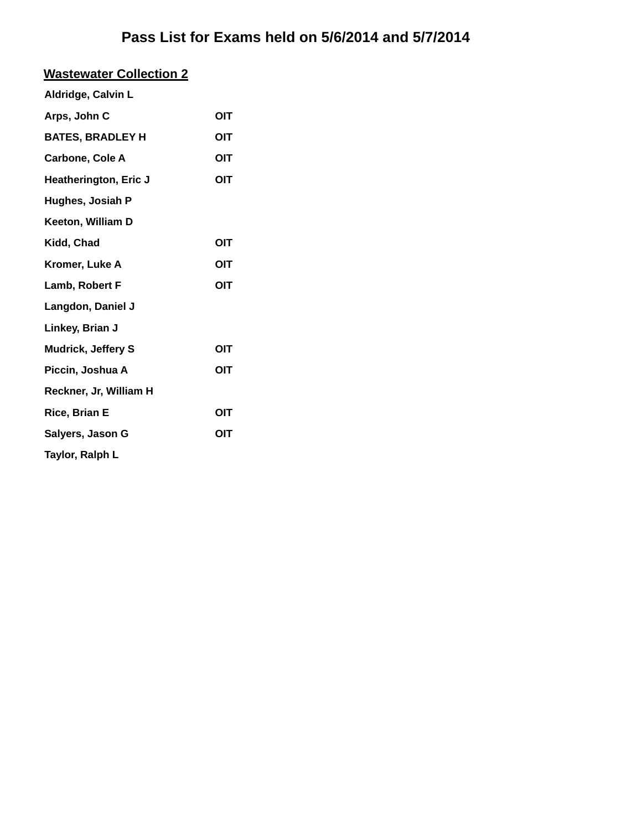## **Wastewater Collection 2**

| Aldridge, Calvin L        |     |
|---------------------------|-----|
| Arps, John C              | OIT |
| <b>BATES, BRADLEY H</b>   | OIT |
| <b>Carbone, Cole A</b>    | OIT |
| Heatherington, Eric J     | OIT |
| Hughes, Josiah P          |     |
| Keeton, William D         |     |
| Kidd, Chad                | OIT |
| Kromer, Luke A            | OIT |
| Lamb, Robert F            | OIT |
| Langdon, Daniel J         |     |
| Linkey, Brian J           |     |
| <b>Mudrick, Jeffery S</b> | OIT |
| Piccin, Joshua A          | OIT |
| Reckner, Jr, William H    |     |
| <b>Rice, Brian E</b>      | OIT |
| Salyers, Jason G          | OIT |
| Taylor, Ralph L           |     |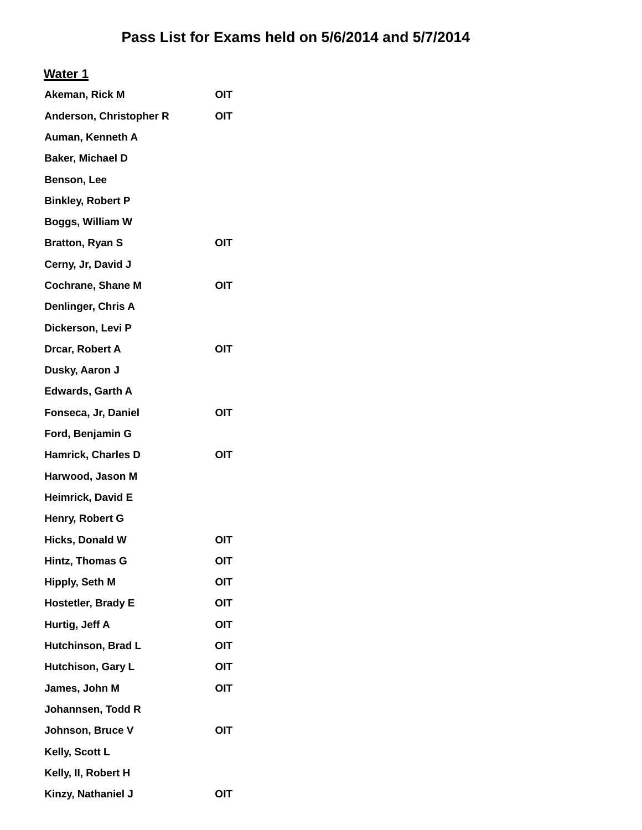| Akeman, Rick M            | OIT |
|---------------------------|-----|
| Anderson, Christopher R   | OIT |
| Auman, Kenneth A          |     |
| Baker, Michael D          |     |
| Benson, Lee               |     |
| <b>Binkley, Robert P</b>  |     |
| Boggs, William W          |     |
| <b>Bratton, Ryan S</b>    | OIT |
| Cerny, Jr, David J        |     |
| <b>Cochrane, Shane M</b>  | OIT |
| Denlinger, Chris A        |     |
| Dickerson, Levi P         |     |
| Drcar, Robert A           | OIT |
| Dusky, Aaron J            |     |
| <b>Edwards, Garth A</b>   |     |
| Fonseca, Jr, Daniel       | OIT |
| Ford, Benjamin G          |     |
| <b>Hamrick, Charles D</b> | OIT |
| Harwood, Jason M          |     |
| <b>Heimrick, David E</b>  |     |
| Henry, Robert G           |     |
| <b>Hicks, Donald W</b>    | OIT |
| Hintz, Thomas G           | OIT |
| Hipply, Seth M            | OIT |
| Hostetler, Brady E        | OIT |
| Hurtig, Jeff A            | OIT |
| Hutchinson, Brad L        | OIT |
| Hutchison, Gary L         | OIT |
| James, John M             | OIT |
| Johannsen, Todd R         |     |
| Johnson, Bruce V          | OIT |
| Kelly, Scott L            |     |
| Kelly, II, Robert H       |     |
| Kinzy, Nathaniel J        | OIT |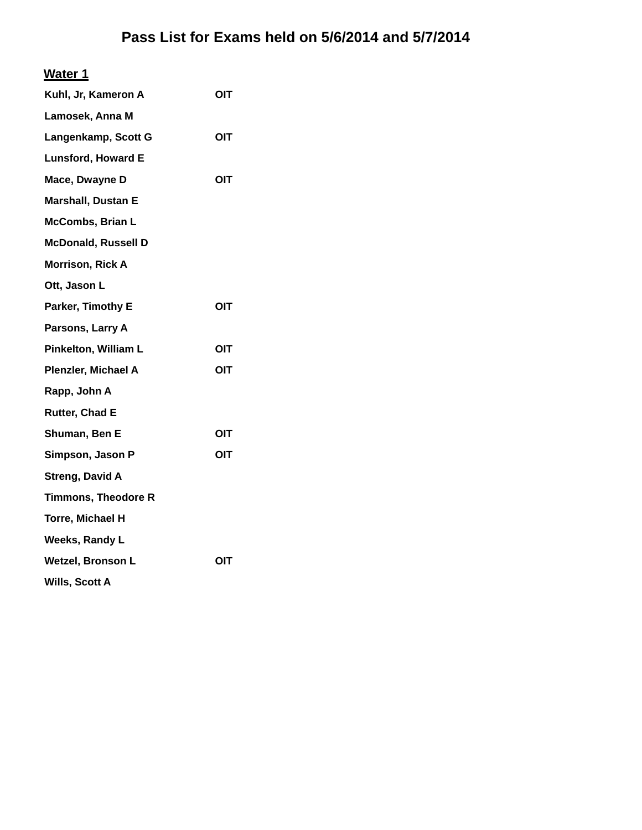### **Water 1**

| OIT        |
|------------|
|            |
| OIT        |
|            |
| OIT        |
|            |
|            |
|            |
|            |
|            |
| OIT        |
|            |
| <b>OIT</b> |
| OIT        |
|            |
|            |
| ΟΙΤ        |
| OIT        |
|            |
|            |
|            |
|            |
| <b>OIT</b> |
|            |
|            |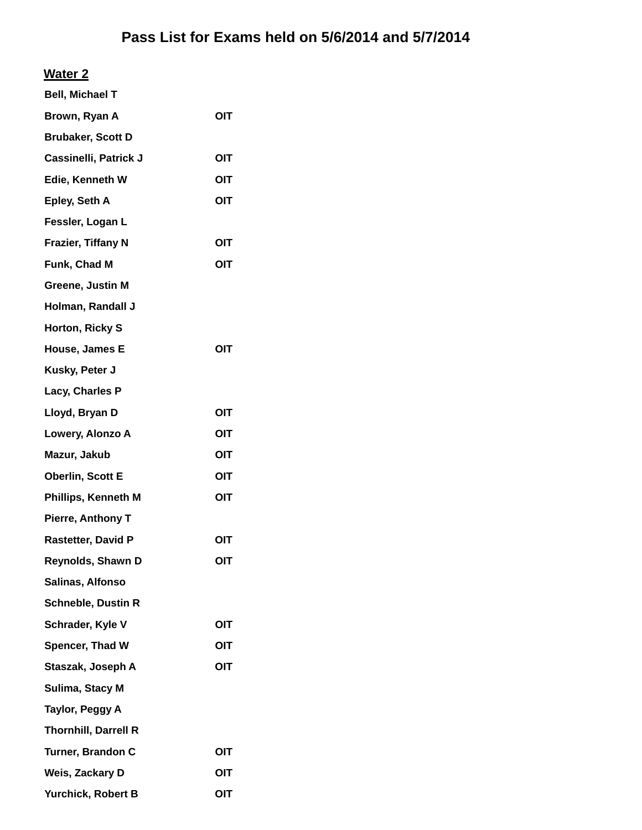### **Water 2**

| <b>Bell, Michael T</b>      |            |
|-----------------------------|------------|
| Brown, Ryan A               | <b>OIT</b> |
| <b>Brubaker, Scott D</b>    |            |
| Cassinelli, Patrick J       | OIT        |
| Edie, Kenneth W             | OIT        |
| Epley, Seth A               | OIT        |
| Fessler, Logan L            |            |
| Frazier, Tiffany N          | OIT        |
| Funk, Chad M                | OIT        |
| Greene, Justin M            |            |
| Holman, Randall J           |            |
| Horton, Ricky S             |            |
| House, James E              | OIT        |
| Kusky, Peter J              |            |
| Lacy, Charles P             |            |
| Lloyd, Bryan D              | OIT        |
| Lowery, Alonzo A            | OIT        |
| Mazur, Jakub                | OIT        |
| <b>Oberlin, Scott E</b>     | OIT        |
| Phillips, Kenneth M         | OIT        |
| Pierre, Anthony T           |            |
| <b>Rastetter, David P</b>   | OIT        |
| Reynolds, Shawn D           | <b>OIT</b> |
| Salinas, Alfonso            |            |
| <b>Schneble, Dustin R</b>   |            |
| Schrader, Kyle V            | <b>OIT</b> |
| Spencer, Thad W             | OIT        |
| Staszak, Joseph A           | OIT        |
| Sulima, Stacy M             |            |
| Taylor, Peggy A             |            |
| <b>Thornhill, Darrell R</b> |            |
| Turner, Brandon C           | OIT        |
| Weis, Zackary D             | OIT        |
| Yurchick, Robert B          | OIT        |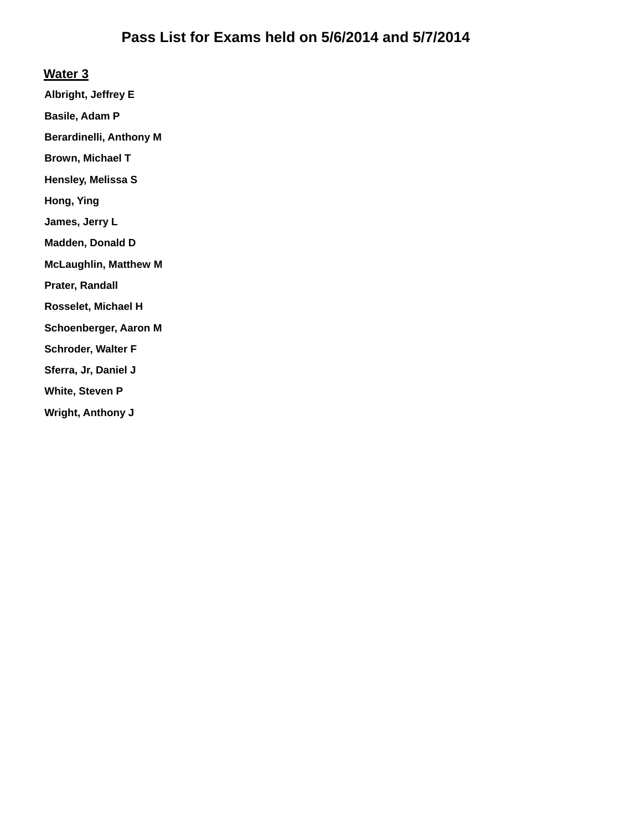#### **Water 3**

**Albright, Jeffrey E**

**Basile, Adam P**

**Berardinelli, Anthony M**

**Brown, Michael T**

**Hensley, Melissa S**

**Hong, Ying**

**James, Jerry L**

**Madden, Donald D**

**McLaughlin, Matthew M**

**Prater, Randall**

**Rosselet, Michael H**

**Schoenberger, Aaron M**

**Schroder, Walter F**

**Sferra, Jr, Daniel J**

**White, Steven P**

**Wright, Anthony J**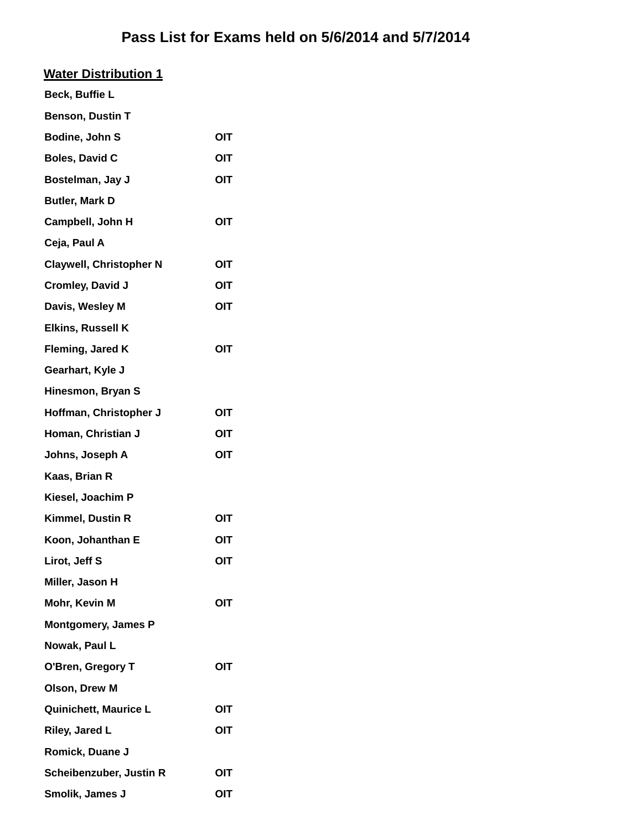## **Water Distribution 1**

| Beck, Buffie L                 |            |
|--------------------------------|------------|
| <b>Benson, Dustin T</b>        |            |
| Bodine, John S                 | OIT        |
| <b>Boles, David C</b>          | OIT        |
| Bostelman, Jay J               | OIT        |
| <b>Butler, Mark D</b>          |            |
| Campbell, John H               | OIT        |
| Ceja, Paul A                   |            |
| <b>Claywell, Christopher N</b> | OIT        |
| Cromley, David J               | OIT        |
| Davis, Wesley M                | OIT        |
| <b>Elkins, Russell K</b>       |            |
| Fleming, Jared K               | OIT        |
| Gearhart, Kyle J               |            |
| Hinesmon, Bryan S              |            |
| Hoffman, Christopher J         | OIT        |
| Homan, Christian J             | <b>OIT</b> |
| Johns, Joseph A                | OIT        |
| Kaas, Brian R                  |            |
| Kiesel, Joachim P              |            |
| Kimmel, Dustin R               | OIT        |
| Koon, Johanthan E              | OIT        |
| Lirot, Jeff S                  | OIT        |
| Miller, Jason H                |            |
| Mohr, Kevin M                  | OIT        |
| <b>Montgomery, James P</b>     |            |
| Nowak, Paul L                  |            |
| O'Bren, Gregory T              | OIT        |
| Olson, Drew M                  |            |
| Quinichett, Maurice L          | OIT        |
| Riley, Jared L                 | OIT        |
| Romick, Duane J                |            |
| Scheibenzuber, Justin R        | OIT        |
| Smolik, James J                | OIT        |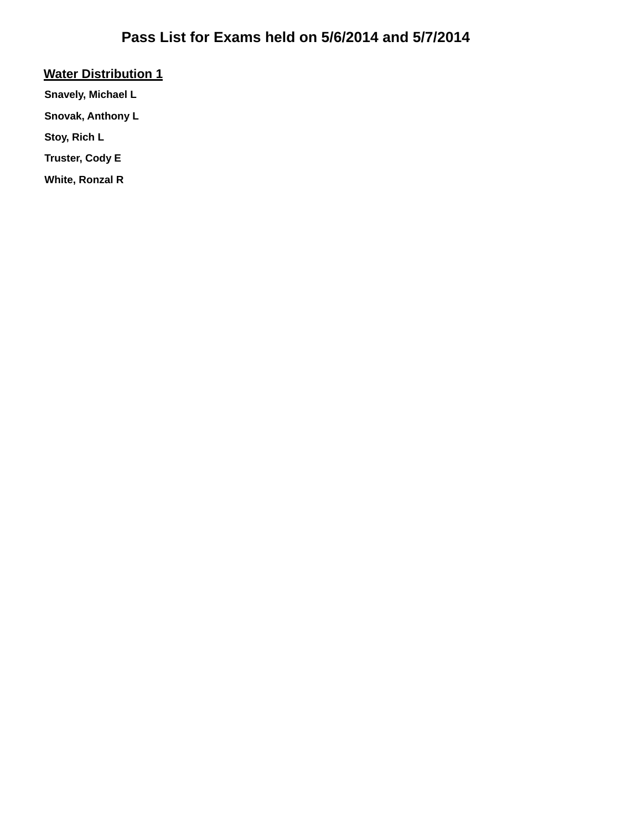### **Water Distribution 1**

**Snavely, Michael L**

**Snovak, Anthony L**

**Stoy, Rich L**

**Truster, Cody E**

**White, Ronzal R**